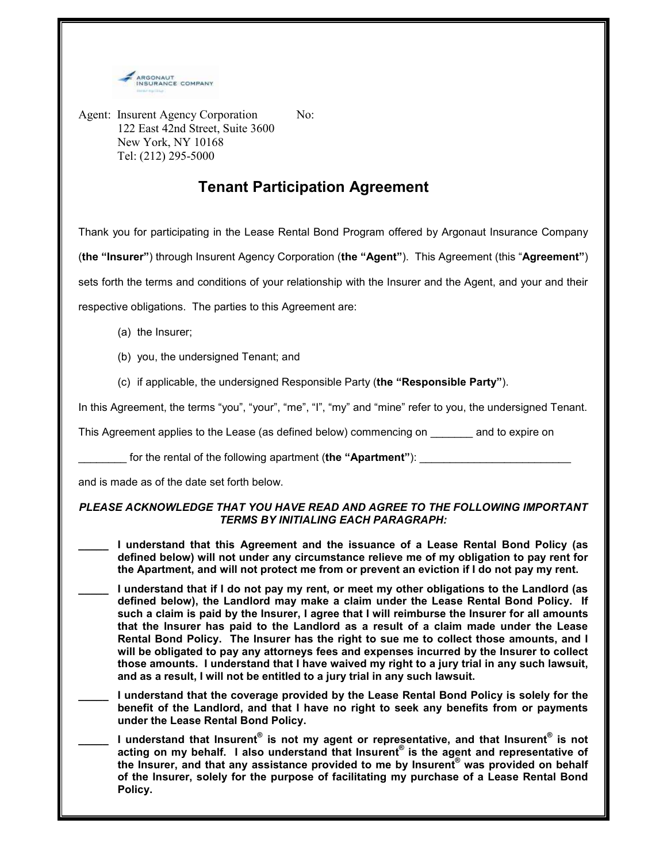

Agent: Insurent Agency Corporation No: 122 East 42nd Street, Suite 3600 New York, NY 10168 Tel: (212) 295-5000

## Tenant Participation Agreement

Thank you for participating in the Lease Rental Bond Program offered by Argonaut Insurance Company (the "Insurer") through Insurent Agency Corporation (the "Agent"). This Agreement (this "Agreement") sets forth the terms and conditions of your relationship with the Insurer and the Agent, and your and their

respective obligations. The parties to this Agreement are:

- (a) the Insurer;
- (b) you, the undersigned Tenant; and
- (c) if applicable, the undersigned Responsible Party (the "Responsible Party").

In this Agreement, the terms "you", "your", "me", "I", "my" and "mine" refer to you, the undersigned Tenant.

This Agreement applies to the Lease (as defined below) commencing on and to expire on

for the rental of the following apartment (the "Apartment"):

and is made as of the date set forth below.

## PLEASE ACKNOWLEDGE THAT YOU HAVE READ AND AGREE TO THE FOLLOWING IMPORTANT TERMS BY INITIALING EACH PARAGRAPH:

- I understand that this Agreement and the issuance of a Lease Rental Bond Policy (as defined below) will not under any circumstance relieve me of my obligation to pay rent for the Apartment, and will not protect me from or prevent an eviction if I do not pay my rent.
- I understand that if I do not pay my rent, or meet my other obligations to the Landlord (as defined below), the Landlord may make a claim under the Lease Rental Bond Policy. If such a claim is paid by the Insurer, I agree that I will reimburse the Insurer for all amounts that the Insurer has paid to the Landlord as a result of a claim made under the Lease Rental Bond Policy. The Insurer has the right to sue me to collect those amounts, and I will be obligated to pay any attorneys fees and expenses incurred by the Insurer to collect those amounts. I understand that I have waived my right to a jury trial in any such lawsuit, and as a result, I will not be entitled to a jury trial in any such lawsuit.
- \_\_\_\_\_ I understand that the coverage provided by the Lease Rental Bond Policy is solely for the benefit of the Landlord, and that I have no right to seek any benefits from or payments under the Lease Rental Bond Policy.
- \_\_\_\_\_ I understand that Insurent $^{\circ}$  is not my agent or representative, and that Insurent $^{\circ}$  is not acting on my behalf. I also understand that Insurent<sup>®</sup> is the agent and representative of the Insurer, and that any assistance provided to me by Insurent® was provided on behalf of the Insurer, solely for the purpose of facilitating my purchase of a Lease Rental Bond Policy.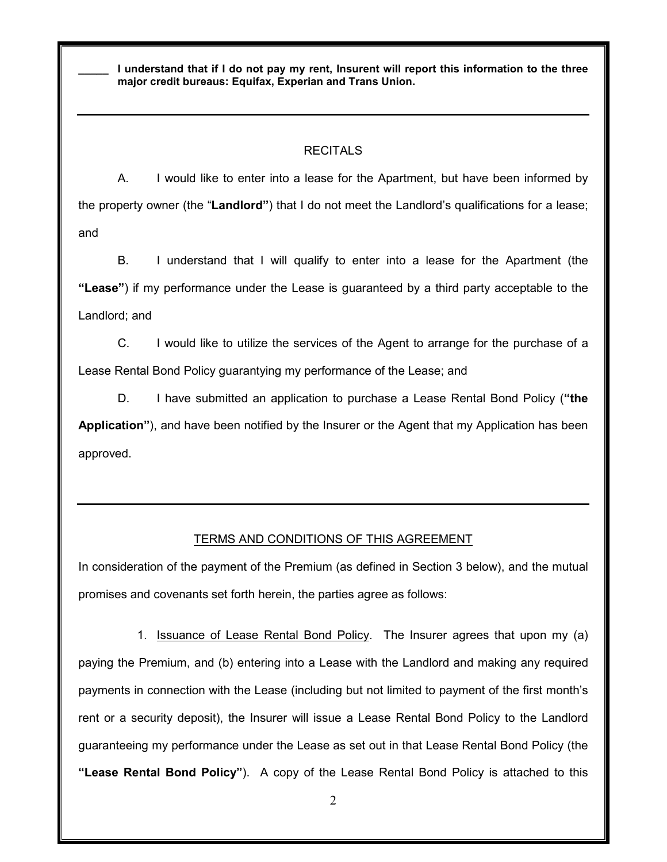I understand that if I do not pay my rent, Insurent will report this information to the three major credit bureaus: Equifax, Experian and Trans Union.

## RECITALS

A. I would like to enter into a lease for the Apartment, but have been informed by the property owner (the "Landlord") that I do not meet the Landlord's qualifications for a lease; and

B. I understand that I will qualify to enter into a lease for the Apartment (the "Lease") if my performance under the Lease is guaranteed by a third party acceptable to the Landlord; and

C. I would like to utilize the services of the Agent to arrange for the purchase of a Lease Rental Bond Policy guarantying my performance of the Lease; and

D. I have submitted an application to purchase a Lease Rental Bond Policy ("the Application"), and have been notified by the Insurer or the Agent that my Application has been approved.

## TERMS AND CONDITIONS OF THIS AGREEMENT

In consideration of the payment of the Premium (as defined in Section 3 below), and the mutual promises and covenants set forth herein, the parties agree as follows:

1. Issuance of Lease Rental Bond Policy. The Insurer agrees that upon my (a) paying the Premium, and (b) entering into a Lease with the Landlord and making any required payments in connection with the Lease (including but not limited to payment of the first month's rent or a security deposit), the Insurer will issue a Lease Rental Bond Policy to the Landlord guaranteeing my performance under the Lease as set out in that Lease Rental Bond Policy (the "Lease Rental Bond Policy"). A copy of the Lease Rental Bond Policy is attached to this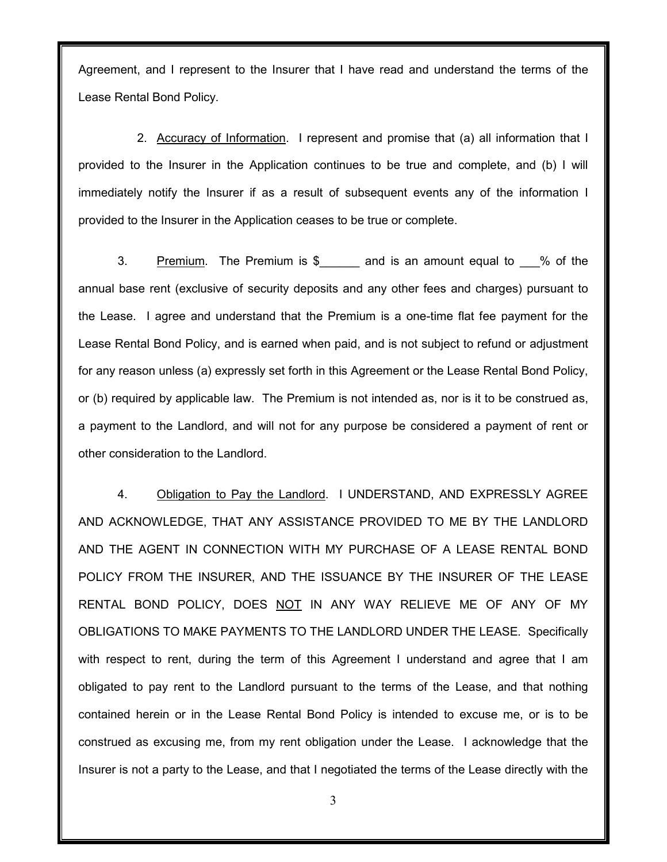Agreement, and I represent to the Insurer that I have read and understand the terms of the Lease Rental Bond Policy.

2. Accuracy of Information. I represent and promise that (a) all information that I provided to the Insurer in the Application continues to be true and complete, and (b) I will immediately notify the Insurer if as a result of subsequent events any of the information I provided to the Insurer in the Application ceases to be true or complete.

3. Premium. The Premium is  $\frac{1}{2}$  and is an amount equal to  $\frac{1}{2}$  % of the annual base rent (exclusive of security deposits and any other fees and charges) pursuant to the Lease. I agree and understand that the Premium is a one-time flat fee payment for the Lease Rental Bond Policy, and is earned when paid, and is not subject to refund or adjustment for any reason unless (a) expressly set forth in this Agreement or the Lease Rental Bond Policy, or (b) required by applicable law. The Premium is not intended as, nor is it to be construed as, a payment to the Landlord, and will not for any purpose be considered a payment of rent or other consideration to the Landlord.

4. Obligation to Pay the Landlord. I UNDERSTAND, AND EXPRESSLY AGREE AND ACKNOWLEDGE, THAT ANY ASSISTANCE PROVIDED TO ME BY THE LANDLORD AND THE AGENT IN CONNECTION WITH MY PURCHASE OF A LEASE RENTAL BOND POLICY FROM THE INSURER, AND THE ISSUANCE BY THE INSURER OF THE LEASE RENTAL BOND POLICY, DOES NOT IN ANY WAY RELIEVE ME OF ANY OF MY OBLIGATIONS TO MAKE PAYMENTS TO THE LANDLORD UNDER THE LEASE. Specifically with respect to rent, during the term of this Agreement I understand and agree that I am obligated to pay rent to the Landlord pursuant to the terms of the Lease, and that nothing contained herein or in the Lease Rental Bond Policy is intended to excuse me, or is to be construed as excusing me, from my rent obligation under the Lease. I acknowledge that the Insurer is not a party to the Lease, and that I negotiated the terms of the Lease directly with the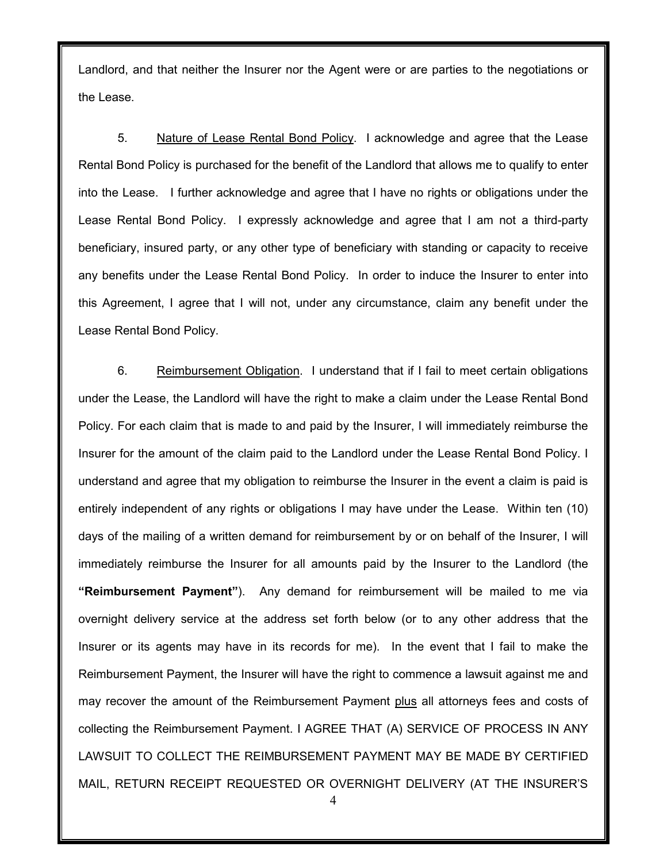Landlord, and that neither the Insurer nor the Agent were or are parties to the negotiations or the Lease.

5. Nature of Lease Rental Bond Policy. I acknowledge and agree that the Lease Rental Bond Policy is purchased for the benefit of the Landlord that allows me to qualify to enter into the Lease. I further acknowledge and agree that I have no rights or obligations under the Lease Rental Bond Policy. I expressly acknowledge and agree that I am not a third-party beneficiary, insured party, or any other type of beneficiary with standing or capacity to receive any benefits under the Lease Rental Bond Policy. In order to induce the Insurer to enter into this Agreement, I agree that I will not, under any circumstance, claim any benefit under the Lease Rental Bond Policy.

6. Reimbursement Obligation. I understand that if I fail to meet certain obligations under the Lease, the Landlord will have the right to make a claim under the Lease Rental Bond Policy. For each claim that is made to and paid by the Insurer, I will immediately reimburse the Insurer for the amount of the claim paid to the Landlord under the Lease Rental Bond Policy. I understand and agree that my obligation to reimburse the Insurer in the event a claim is paid is entirely independent of any rights or obligations I may have under the Lease. Within ten (10) days of the mailing of a written demand for reimbursement by or on behalf of the Insurer, I will immediately reimburse the Insurer for all amounts paid by the Insurer to the Landlord (the "Reimbursement Payment"). Any demand for reimbursement will be mailed to me via overnight delivery service at the address set forth below (or to any other address that the Insurer or its agents may have in its records for me). In the event that I fail to make the Reimbursement Payment, the Insurer will have the right to commence a lawsuit against me and may recover the amount of the Reimbursement Payment plus all attorneys fees and costs of collecting the Reimbursement Payment. I AGREE THAT (A) SERVICE OF PROCESS IN ANY LAWSUIT TO COLLECT THE REIMBURSEMENT PAYMENT MAY BE MADE BY CERTIFIED MAIL, RETURN RECEIPT REQUESTED OR OVERNIGHT DELIVERY (AT THE INSURER'S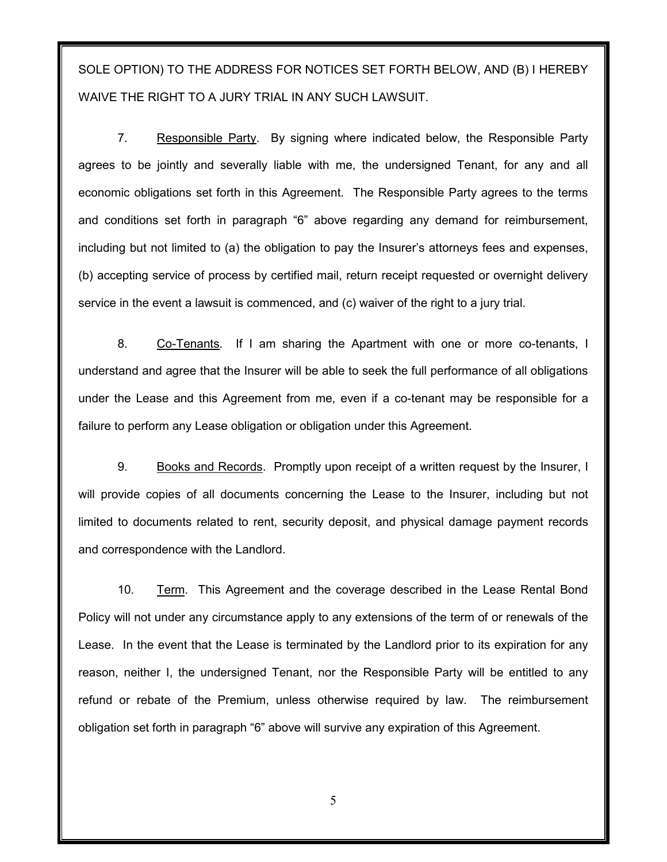SOLE OPTION) TO THE ADDRESS FOR NOTICES SET FORTH BELOW, AND (B) I HEREBY WAIVE THE RIGHT TO A JURY TRIAL IN ANY SUCH LAWSUIT.

7. Responsible Party. By signing where indicated below, the Responsible Party agrees to be jointly and severally liable with me, the undersigned Tenant, for any and all economic obligations set forth in this Agreement. The Responsible Party agrees to the terms and conditions set forth in paragraph "6" above regarding any demand for reimbursement, including but not limited to (a) the obligation to pay the Insurer's attorneys fees and expenses, (b) accepting service of process by certified mail, return receipt requested or overnight delivery service in the event a lawsuit is commenced, and (c) waiver of the right to a jury trial.

8. Co-Tenants. If I am sharing the Apartment with one or more co-tenants, I understand and agree that the Insurer will be able to seek the full performance of all obligations under the Lease and this Agreement from me, even if a co-tenant may be responsible for a failure to perform any Lease obligation or obligation under this Agreement.

9. Books and Records. Promptly upon receipt of a written request by the Insurer, I will provide copies of all documents concerning the Lease to the Insurer, including but not limited to documents related to rent, security deposit, and physical damage payment records and correspondence with the Landlord.

10. Term. This Agreement and the coverage described in the Lease Rental Bond Policy will not under any circumstance apply to any extensions of the term of or renewals of the Lease. In the event that the Lease is terminated by the Landlord prior to its expiration for any reason, neither I, the undersigned Tenant, nor the Responsible Party will be entitled to any refund or rebate of the Premium, unless otherwise required by law. The reimbursement obligation set forth in paragraph "6" above will survive any expiration of this Agreement.

5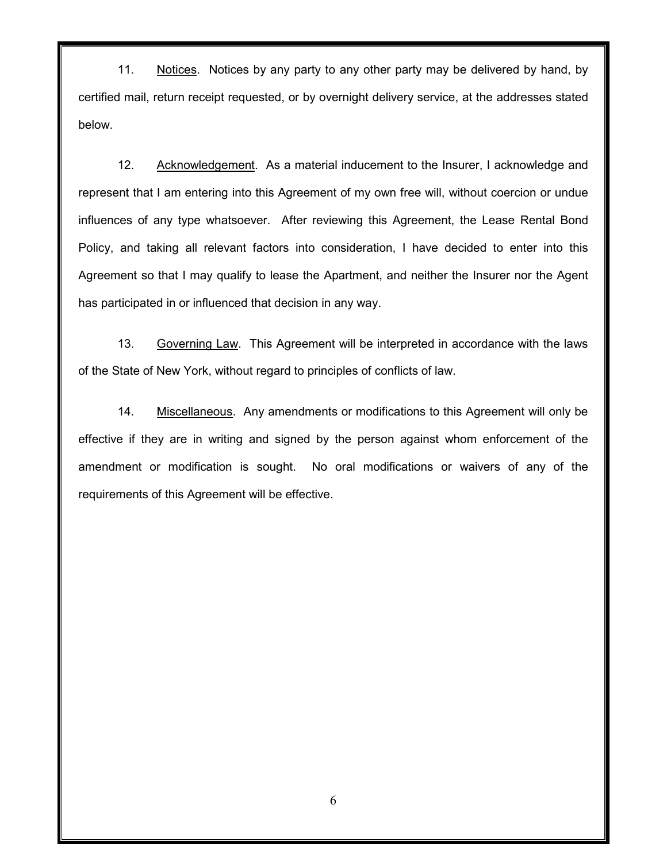11. Notices. Notices by any party to any other party may be delivered by hand, by certified mail, return receipt requested, or by overnight delivery service, at the addresses stated below.

12. Acknowledgement. As a material inducement to the Insurer, I acknowledge and represent that I am entering into this Agreement of my own free will, without coercion or undue influences of any type whatsoever. After reviewing this Agreement, the Lease Rental Bond Policy, and taking all relevant factors into consideration, I have decided to enter into this Agreement so that I may qualify to lease the Apartment, and neither the Insurer nor the Agent has participated in or influenced that decision in any way.

13. Governing Law. This Agreement will be interpreted in accordance with the laws of the State of New York, without regard to principles of conflicts of law.

14. Miscellaneous. Any amendments or modifications to this Agreement will only be effective if they are in writing and signed by the person against whom enforcement of the amendment or modification is sought. No oral modifications or waivers of any of the requirements of this Agreement will be effective.